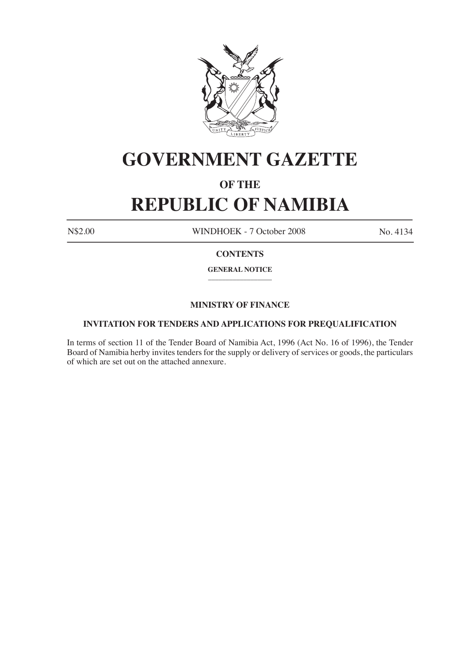

# **GOVERNMENT GAZETTE**

## **OF THE**

# **REPUBLIC OF NAMIBIA**

N\$2.00 WINDHOEK - 7 October 2008 No. 4134

### **CONTENTS**

**GENERAL NOTICE**  $\frac{1}{2}$ 

### **MINISTRY OF FINANCE**

#### **INVITATION FOR TENDERS AND APPLICATIONS FOR PREQUALIFICATION**

In terms of section 11 of the Tender Board of Namibia Act, 1996 (Act No. 16 of 1996), the Tender Board of Namibia herby invites tenders for the supply or delivery of services or goods, the particulars of which are set out on the attached annexure.

\_\_\_\_\_\_\_\_\_\_\_\_\_\_\_\_\_\_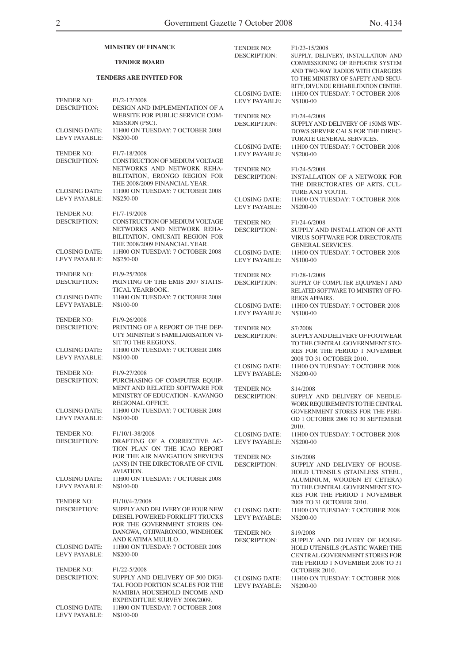| <b>MINISTRY OF FINANCE</b><br><b>TENDER BOARD</b><br><b>TENDERS ARE INVITED FOR</b> |                                                                                                                                                                | <b>TENDER NO:</b><br><b>DESCRIPTION:</b>     | F1/23-15/2008<br>SUPPLY, DELIVERY, INSTALLATION AND<br><b>COMMISSIONING OF REPEATER SYSTEM</b><br>AND TWO-WAY RADIOS WITH CHARGERS<br>TO THE MINISTRY OF SAFETY AND SECU-<br>RITY, DIVUNDU REHABILITATION CENTRE. |                                              |                                                                                                |                                                                   |                                                                                                                                             |
|-------------------------------------------------------------------------------------|----------------------------------------------------------------------------------------------------------------------------------------------------------------|----------------------------------------------|-------------------------------------------------------------------------------------------------------------------------------------------------------------------------------------------------------------------|----------------------------------------------|------------------------------------------------------------------------------------------------|-------------------------------------------------------------------|---------------------------------------------------------------------------------------------------------------------------------------------|
|                                                                                     |                                                                                                                                                                |                                              |                                                                                                                                                                                                                   | <b>TENDER NO:</b><br><b>DESCRIPTION:</b>     | F <sub>1</sub> /2-12/2008<br>DESIGN AND IMPLEMENTATION OF A<br>WEBSITE FOR PUBLIC SERVICE COM- | <b>CLOSING DATE:</b><br><b>LEVY PAYABLE:</b><br><b>TENDER NO:</b> | 11H00 ON TUESDAY: 7 OCTOBER 2008<br>N\$100-00<br>F1/24-4/2008                                                                               |
|                                                                                     |                                                                                                                                                                |                                              |                                                                                                                                                                                                                   | <b>CLOSING DATE:</b><br><b>LEVY PAYABLE:</b> | MISSION (PSC).<br>11H00 ON TUESDAY: 7 OCTOBER 2008<br>N\$200-00                                | <b>DESCRIPTION:</b><br><b>CLOSING DATE:</b>                       | SUPPLY AND DELIVERY OF 150MS WIN-<br><b>DOWS SERVER CALS FOR THE DIREC-</b><br>TORATE GENERAL SERVICES.<br>11H00 ON TUESDAY: 7 OCTOBER 2008 |
| <b>TENDER NO:</b><br><b>DESCRIPTION:</b>                                            | F <sub>1</sub> /7-18/2008<br>CONSTRUCTION OF MEDIUM VOLTAGE<br>NETWORKS AND NETWORK REHA-                                                                      | LEVY PAYABLE:<br><b>TENDER NO:</b>           | N\$200-00<br>F1/24-5/2008                                                                                                                                                                                         |                                              |                                                                                                |                                                                   |                                                                                                                                             |
| <b>CLOSING DATE:</b>                                                                | BILITATION, ERONGO REGION FOR<br>THE 2008/2009 FINANCIAL YEAR.<br>11H00 ON TUESDAY: 7 OCTOBER 2008                                                             | <b>DESCRIPTION:</b>                          | <b>INSTALLATION OF A NETWORK FOR</b><br>THE DIRECTORATES OF ARTS, CUL-<br>TURE AND YOUTH.                                                                                                                         |                                              |                                                                                                |                                                                   |                                                                                                                                             |
| LEVY PAYABLE:<br><b>TENDER NO:</b>                                                  | N\$250-00<br>F <sub>1</sub> /7-19/2008                                                                                                                         | <b>CLOSING DATE:</b><br>LEVY PAYABLE:        | 11H00 ON TUESDAY: 7 OCTOBER 2008<br>N\$200-00                                                                                                                                                                     |                                              |                                                                                                |                                                                   |                                                                                                                                             |
| <b>DESCRIPTION:</b>                                                                 | CONSTRUCTION OF MEDIUM VOLTAGE<br>NETWORKS AND NETWORK REHA-<br>BILITATION, OMUSATI REGION FOR<br>THE 2008/2009 FINANCIAL YEAR.                                | TENDER NO:<br><b>DESCRIPTION:</b>            | F1/24-6/2008<br>SUPPLY AND INSTALLATION OF ANTI<br><b>VIRUS SOFTWARE FOR DIRECTORATE</b><br><b>GENERAL SERVICES.</b>                                                                                              |                                              |                                                                                                |                                                                   |                                                                                                                                             |
| <b>CLOSING DATE:</b><br>LEVY PAYABLE:                                               | 11H00 ON TUESDAY: 7 OCTOBER 2008<br>N\$250-00                                                                                                                  | <b>CLOSING DATE:</b><br>LEVY PAYABLE:        | 11H00 ON TUESDAY: 7 OCTOBER 2008<br>N\$100-00                                                                                                                                                                     |                                              |                                                                                                |                                                                   |                                                                                                                                             |
| <b>TENDER NO:</b><br><b>DESCRIPTION:</b>                                            | F <sub>1</sub> /9-25/2008<br>PRINTING OF THE EMIS 2007 STATIS-<br>TICAL YEARBOOK.                                                                              | TENDER NO:<br><b>DESCRIPTION:</b>            | F <sub>1</sub> /28-1/2008<br>SUPPLY OF COMPUTER EQUIPMENT AND<br>RELATED SOFTWARE TO MINISTRY OF FO-                                                                                                              |                                              |                                                                                                |                                                                   |                                                                                                                                             |
| <b>CLOSING DATE:</b><br>LEVY PAYABLE:                                               | 11H00 ON TUESDAY: 7 OCTOBER 2008<br>N\$100-00                                                                                                                  | <b>CLOSING DATE:</b><br><b>LEVY PAYABLE:</b> | REIGN AFFAIRS.<br>11H00 ON TUESDAY: 7 OCTOBER 2008<br>N\$100-00                                                                                                                                                   |                                              |                                                                                                |                                                                   |                                                                                                                                             |
| <b>TENDER NO:</b><br><b>DESCRIPTION:</b><br><b>CLOSING DATE:</b>                    | F <sub>1</sub> /9-26/2008<br>PRINTING OF A REPORT OF THE DEP-<br>UTY MINISTER'S FAMILIARISATION VI-<br>SIT TO THE REGIONS.<br>11H00 ON TUESDAY: 7 OCTOBER 2008 | <b>TENDER NO:</b><br><b>DESCRIPTION:</b>     | S7/2008<br>SUPPLY AND DELIVERY OF FOOTWEAR<br>TO THE CENTRAL GOVERNMENT STO-<br>RES FOR THE PERIOD 1 NOVEMBER                                                                                                     |                                              |                                                                                                |                                                                   |                                                                                                                                             |
| LEVY PAYABLE:<br><b>TENDER NO:</b><br><b>DESCRIPTION:</b>                           | N\$100-00<br>F1/9-27/2008<br>PURCHASING OF COMPUTER EQUIP-                                                                                                     | <b>CLOSING DATE:</b><br>LEVY PAYABLE:        | 2008 TO 31 OCTOBER 2010.<br>11H00 ON TUESDAY: 7 OCTOBER 2008<br>N\$200-00                                                                                                                                         |                                              |                                                                                                |                                                                   |                                                                                                                                             |
| <b>CLOSING DATE:</b><br>LEVY PAYABLE:                                               | MENT AND RELATED SOFTWARE FOR<br>MINISTRY OF EDUCATION - KAVANGO<br>REGIONAL OFFICE.<br>11H00 ON TUESDAY: 7 OCTOBER 2008<br>N\$100-00                          | TENDER NO:<br>DESCRIPTION:                   | S <sub>14</sub> /2008<br>SUPPLY AND DELIVERY OF NEEDLE-<br>WORK REQUIREMENTS TO THE CENTRAL<br>GOVERNMENT STORES FOR THE PERI-<br>OD 1 OCTOBER 2008 TO 30 SEPTEMBER                                               |                                              |                                                                                                |                                                                   |                                                                                                                                             |
| <b>TENDER NO:</b><br><b>DESCRIPTION:</b>                                            | F1/10/1-38/2008<br>DRAFTING OF A CORRECTIVE AC-                                                                                                                | <b>CLOSING DATE:</b><br><b>LEVY PAYABLE:</b> | 2010.<br>11H00 ON TUESDAY: 7 OCTOBER 2008                                                                                                                                                                         |                                              |                                                                                                |                                                                   |                                                                                                                                             |
|                                                                                     | TION PLAN ON THE ICAO REPORT<br>FOR THE AIR NAVIGATION SERVICES<br>(ANS) IN THE DIRECTORATE OF CIVIL<br><b>AVIATION.</b>                                       | TENDER NO:<br><b>DESCRIPTION:</b>            | N\$200-00<br>S16/2008<br>SUPPLY AND DELIVERY OF HOUSE-<br>HOLD UTENSILS (STAINLESS STEEL,                                                                                                                         |                                              |                                                                                                |                                                                   |                                                                                                                                             |
| <b>CLOSING DATE:</b><br>LEVY PAYABLE:                                               | 11H00 ON TUESDAY: 7 OCTOBER 2008<br>N\$100-00                                                                                                                  |                                              | ALUMINIUM, WOODEN ET CETERA)<br>TO THE CENTRAL GOVERNMENT STO-<br>RES FOR THE PERIOD 1 NOVEMBER                                                                                                                   |                                              |                                                                                                |                                                                   |                                                                                                                                             |
| TENDER NO:<br><b>DESCRIPTION:</b>                                                   | F1/10/4-2/2008<br>SUPPLY AND DELIVERY OF FOUR NEW<br>DIESEL POWERED FORKLIFT TRUCKS<br>FOR THE GOVERNMENT STORES ON-                                           | <b>CLOSING DATE:</b><br><b>LEVY PAYABLE:</b> | 2008 TO 31 OCTOBER 2010.<br>11H00 ON TUESDAY: 7 OCTOBER 2008<br>N\$200-00                                                                                                                                         |                                              |                                                                                                |                                                                   |                                                                                                                                             |
| <b>CLOSING DATE:</b><br>LEVY PAYABLE:                                               | DANGWA, OTJIWARONGO, WINDHOEK<br>AND KATIMA MULILO.<br>11H00 ON TUESDAY: 7 OCTOBER 2008<br>N\$200-00                                                           | TENDER NO:<br><b>DESCRIPTION:</b>            | S19/2008<br>SUPPLY AND DELIVERY OF HOUSE-<br>HOLD UTENSILS (PLASTIC WARE) THE<br>CENTRAL GOVERNMENT STORES FOR                                                                                                    |                                              |                                                                                                |                                                                   |                                                                                                                                             |
| <b>TENDER NO:</b><br><b>DESCRIPTION:</b>                                            | F1/22-5/2008<br>SUPPLY AND DELIVERY OF 500 DIGI-<br>TAL FOOD PORTION SCALES FOR THE<br>NAMIBIA HOUSEHOLD INCOME AND                                            | <b>CLOSING DATE:</b><br><b>LEVY PAYABLE:</b> | THE PERIOD 1 NOVEMBER 2008 TO 31<br>OCTOBER 2010.<br>11H00 ON TUESDAY: 7 OCTOBER 2008<br>N\$200-00                                                                                                                |                                              |                                                                                                |                                                                   |                                                                                                                                             |
| <b>CLOSING DATE:</b><br>LEVY PAYABLE:                                               | EXPENDITURE SURVEY 2008/2009.<br>11H00 ON TUESDAY: 7 OCTOBER 2008<br>N\$100-00                                                                                 |                                              |                                                                                                                                                                                                                   |                                              |                                                                                                |                                                                   |                                                                                                                                             |